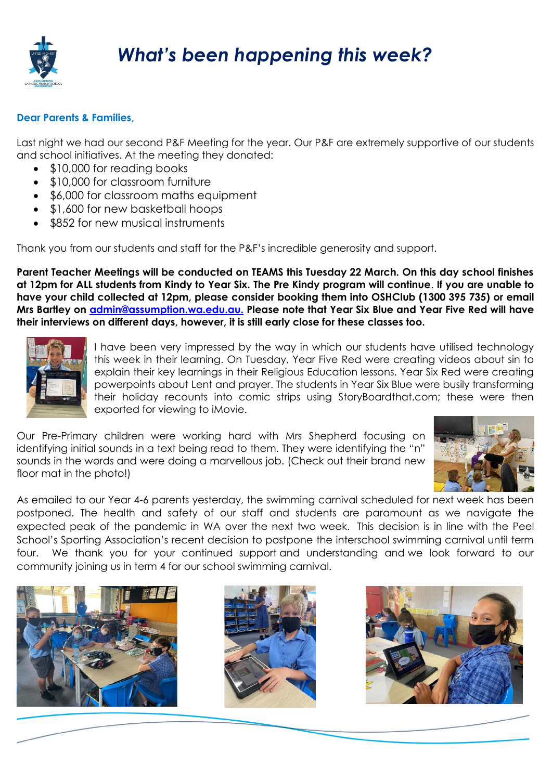

## *What's been happening this week?*

## **Dear Parents & Families,**

Last night we had our second P&F Meeting for the year. Our P&F are extremely supportive of our students and school initiatives. At the meeting they donated:

- \$10,000 for reading books
- \$10,000 for classroom furniture
- \$6,000 for classroom maths equipment
- \$1,600 for new basketball hoops
- \$852 for new musical instruments

Thank you from our students and staff for the P&F's incredible generosity and support.

**Parent Teacher Meetings will be conducted on TEAMS this Tuesday 22 March. On this day school finishes at 12pm for ALL students from Kindy to Year Six. The Pre Kindy program will continue**. **If you are unable to have your child collected at 12pm, please consider booking them into OSHClub (1300 395 735) or email Mrs Bartley on [admin@assumption.wa.edu.au.](mailto:admin@assumption.wa.edu.au) Please note that Year Six Blue and Year Five Red will have their interviews on different days, however, it is still early close for these classes too.**



I have been very impressed by the way in which our students have utilised technology this week in their learning. On Tuesday, Year Five Red were creating videos about sin to explain their key learnings in their Religious Education lessons. Year Six Red were creating powerpoints about Lent and prayer. The students in Year Six Blue were busily transforming their holiday recounts into comic strips using StoryBoardthat.com; these were then exported for viewing to iMovie.

Our Pre-Primary children were working hard with Mrs Shepherd focusing on identifying initial sounds in a text being read to them. They were identifying the "n" sounds in the words and were doing a marvellous job. (Check out their brand new floor mat in the photo!)



As emailed to our Year 4-6 parents yesterday, the swimming carnival scheduled for next week has been postponed. The health and safety of our staff and students are paramount as we navigate the expected peak of the pandemic in WA over the next two week. This decision is in line with the Peel School's Sporting Association's recent decision to postpone the interschool swimming carnival until term four. We thank you for your continued support and understanding and we look forward to our community joining us in term 4 for our school swimming carnival.